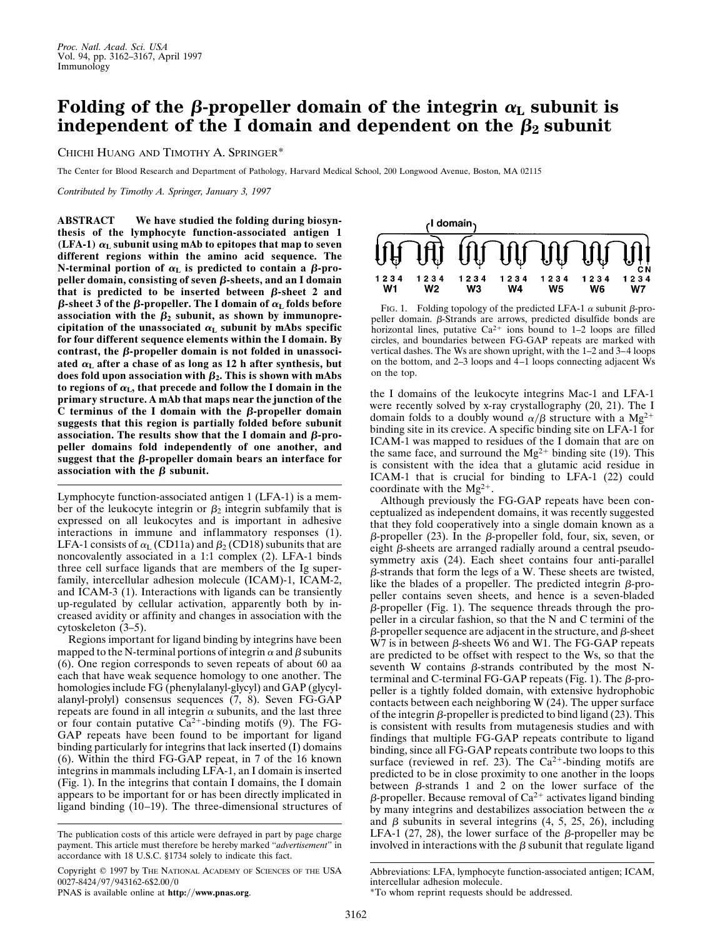## **Folding of the**  $\beta$ **-propeller domain of the integrin**  $\alpha_L$  subunit is **independent of the I domain and dependent on the**  $\beta_2$  **subunit**

CHICHI HUANG AND TIMOTHY A. SPRINGER\*

The Center for Blood Research and Department of Pathology, Harvard Medical School, 200 Longwood Avenue, Boston, MA 02115

*Contributed by Timothy A. Springer, January 3, 1997*

**ABSTRACT We have studied the folding during biosynthesis of the lymphocyte function-associated antigen 1 (LFA-1)**  $\alpha$ <sub>L</sub> subunit using mAb to epitopes that map to seven **different regions within the amino acid sequence. The N-terminal portion of**  $\alpha$ **<sup>L</sup> is predicted to contain a**  $\beta$ **-propeller domain, consisting of seven β-sheets, and an I domain** that is predicted to be inserted between  $\beta$ -sheet 2 and  $\beta$ -sheet 3 of the  $\beta$ -propeller. The I domain of  $\alpha$ <sub>L</sub> folds before association with the  $\beta_2$  subunit, as shown by immunoprecipitation of the unassociated  $\alpha_L$  subunit by mAbs specific **for four different sequence elements within the I domain. By** contrast, the  $\beta$ -propeller domain is not folded in unassociated  $\alpha$ <sub>L</sub> after a chase of as long as 12 h after synthesis, but does fold upon association with  $\beta_2$ . This is shown with mAbs to regions of  $\alpha_{\text{L}}$ , that precede and follow the I domain in the **primary structure. A mAb that maps near the junction of the** C terminus of the I domain with the  $\beta$ -propeller domain **suggests that this region is partially folded before subunit** association. The results show that the I domain and  $\beta$ -pro**peller domains fold independently of one another, and** suggest that the  $\beta$ -propeller domain bears an interface for association with the  $\beta$  subunit.

Lymphocyte function-associated antigen 1 (LFA-1) is a member of the leukocyte integrin or  $\beta_2$  integrin subfamily that is expressed on all leukocytes and is important in adhesive interactions in immune and inflammatory responses (1). LFA-1 consists of  $\alpha$ <sub>L</sub> (CD11a) and  $\beta$ <sub>2</sub> (CD18) subunits that are noncovalently associated in a 1:1 complex (2). LFA-1 binds three cell surface ligands that are members of the Ig superfamily, intercellular adhesion molecule (ICAM)-1, ICAM-2, and ICAM-3 (1). Interactions with ligands can be transiently up-regulated by cellular activation, apparently both by increased avidity or affinity and changes in association with the cytoskeleton (3–5).

Regions important for ligand binding by integrins have been mapped to the N-terminal portions of integrin  $\alpha$  and  $\beta$  subunits (6). One region corresponds to seven repeats of about 60 aa each that have weak sequence homology to one another. The homologies include FG (phenylalanyl-glycyl) and GAP (glycylalanyl-prolyl) consensus sequences (7, 8). Seven FG-GAP repeats are found in all integrin  $\alpha$  subunits, and the last three or four contain putative  $\overline{Ca}^{2+}$ -binding motifs (9). The FG-GAP repeats have been found to be important for ligand binding particularly for integrins that lack inserted (I) domains (6). Within the third FG-GAP repeat, in 7 of the 16 known integrins in mammals including LFA-1, an I domain is inserted (Fig. 1). In the integrins that contain I domains, the I domain appears to be important for or has been directly implicated in ligand binding (10–19). The three-dimensional structures of

Copyright  $@$  1997 by The NATIONAL ACADEMY OF SCIENCES OF THE USA 0027-8424/97/943162-6\$2.00/0



PNAS is available online at **http://www.pnas.org**.



FIG. 1. Folding topology of the predicted LFA-1  $\alpha$  subunit  $\beta$ -propeller domain.  $\beta$ -Strands are arrows, predicted disulfide bonds are horizontal lines, putative  $Ca^{2+}$  ions bound to 1–2 loops are filled circles, and boundaries between FG-GAP repeats are marked with vertical dashes. The Ws are shown upright, with the 1–2 and 3–4 loops on the bottom, and 2–3 loops and 4–1 loops connecting adjacent Ws on the top.

the I domains of the leukocyte integrins Mac-1 and LFA-1 were recently solved by x-ray crystallography (20, 21). The I domain folds to a doubly wound  $\alpha/\beta$  structure with a Mg<sup>2+</sup> binding site in its crevice. A specific binding site on LFA-1 for ICAM-1 was mapped to residues of the I domain that are on the same face, and surround the  $Mg^{2+}$  binding site (19). This is consistent with the idea that a glutamic acid residue in ICAM-1 that is crucial for binding to LFA-1 (22) could coordinate with the  $Mg^{2+}$ .

Although previously the FG-GAP repeats have been conceptualized as independent domains, it was recently suggested that they fold cooperatively into a single domain known as a  $\beta$ -propeller (23). In the  $\beta$ -propeller fold, four, six, seven, or eight  $\beta$ -sheets are arranged radially around a central pseudosymmetry axis (24). Each sheet contains four anti-parallel  $\beta$ -strands that form the legs of a W. These sheets are twisted, like the blades of a propeller. The predicted integrin  $\beta$ -propeller contains seven sheets, and hence is a seven-bladed  $\beta$ -propeller (Fig. 1). The sequence threads through the propeller in a circular fashion, so that the N and C termini of the  $\beta$ -propeller sequence are adjacent in the structure, and  $\beta$ -sheet  $W7$  is in between  $\beta$ -sheets W6 and W1. The FG-GAP repeats are predicted to be offset with respect to the Ws, so that the seventh W contains  $\beta$ -strands contributed by the most Nterminal and C-terminal FG-GAP repeats (Fig. 1). The  $\beta$ -propeller is a tightly folded domain, with extensive hydrophobic contacts between each neighboring W (24). The upper surface of the integrin  $\beta$ -propeller is predicted to bind ligand (23). This is consistent with results from mutagenesis studies and with findings that multiple FG-GAP repeats contribute to ligand binding, since all FG-GAP repeats contribute two loops to this surface (reviewed in ref. 23). The  $Ca^{2+}$ -binding motifs are predicted to be in close proximity to one another in the loops between  $\beta$ -strands 1 and 2 on the lower surface of the  $\beta$ -propeller. Because removal of Ca<sup>2+</sup> activates ligand binding by many integrins and destabilizes association between the  $\alpha$ and  $\beta$  subunits in several integrins (4, 5, 25, 26), including LFA-1 (27, 28), the lower surface of the  $\beta$ -propeller may be involved in interactions with the  $\beta$  subunit that regulate ligand

The publication costs of this article were defrayed in part by page charge payment. This article must therefore be hereby marked ''*advertisement*'' in accordance with 18 U.S.C. §1734 solely to indicate this fact.

Abbreviations: LFA, lymphocyte function-associated antigen; ICAM, intercellular adhesion molecule. \*To whom reprint requests should be addressed.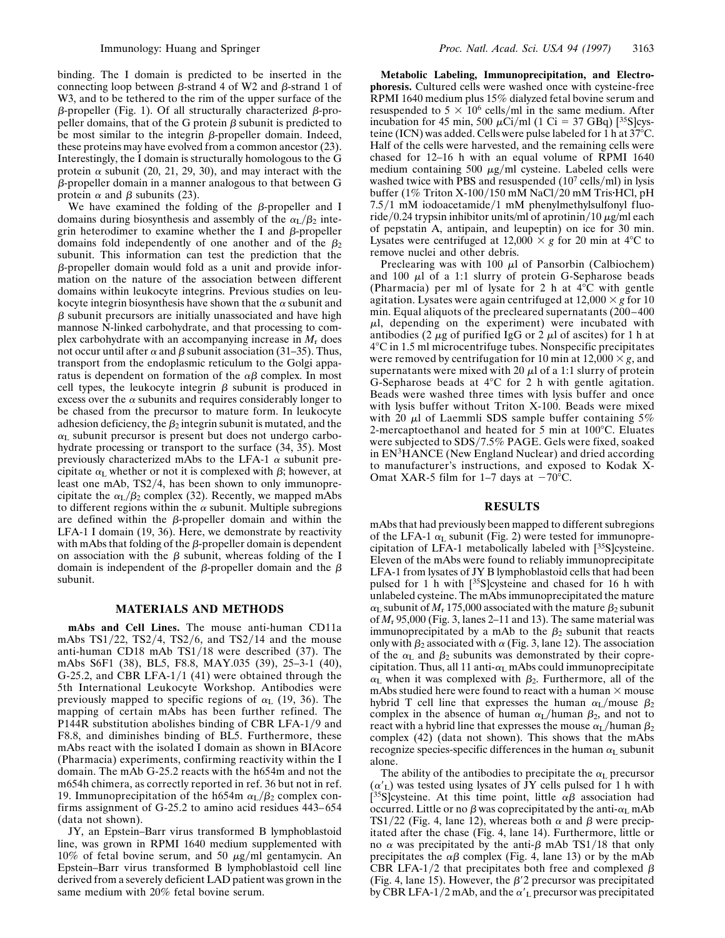binding. The I domain is predicted to be inserted in the connecting loop between  $\beta$ -strand 4 of W2 and  $\beta$ -strand 1 of W3, and to be tethered to the rim of the upper surface of the  $\beta$ -propeller (Fig. 1). Of all structurally characterized  $\beta$ -propeller domains, that of the G protein  $\beta$  subunit is predicted to be most similar to the integrin  $\beta$ -propeller domain. Indeed, these proteins may have evolved from a common ancestor (23). Interestingly, the I domain is structurally homologous to the G protein  $\alpha$  subunit (20, 21, 29, 30), and may interact with the  $\beta$ -propeller domain in a manner analogous to that between G protein  $\alpha$  and  $\beta$  subunits (23).

We have examined the folding of the  $\beta$ -propeller and I domains during biosynthesis and assembly of the  $\alpha_L/\beta_2$  integrin heterodimer to examine whether the I and  $\beta$ -propeller domains fold independently of one another and of the  $\beta_2$ subunit. This information can test the prediction that the  $\beta$ -propeller domain would fold as a unit and provide information on the nature of the association between different domains within leukocyte integrins. Previous studies on leukocyte integrin biosynthesis have shown that the  $\alpha$  subunit and  $\beta$  subunit precursors are initially unassociated and have high mannose N-linked carbohydrate, and that processing to complex carbohydrate with an accompanying increase in  $M_r$  does not occur until after  $\alpha$  and  $\beta$  subunit association (31–35). Thus, transport from the endoplasmic reticulum to the Golgi apparatus is dependent on formation of the  $\alpha\beta$  complex. In most cell types, the leukocyte integrin  $\beta$  subunit is produced in excess over the  $\alpha$  subunits and requires considerably longer to be chased from the precursor to mature form. In leukocyte adhesion deficiency, the  $\beta_2$  integrin subunit is mutated, and the  $\alpha$ <sub>L</sub> subunit precursor is present but does not undergo carbohydrate processing or transport to the surface (34, 35). Most previously characterized mAbs to the LFA-1  $\alpha$  subunit precipitate  $\alpha_L$  whether or not it is complexed with  $\beta$ ; however, at least one mAb, TS2/4, has been shown to only immunoprecipitate the  $\alpha_{\rm L}/\beta_2$  complex (32). Recently, we mapped mAbs to different regions within the  $\alpha$  subunit. Multiple subregions are defined within the  $\beta$ -propeller domain and within the LFA-1 I domain (19, 36). Here, we demonstrate by reactivity with mAbs that folding of the  $\beta$ -propeller domain is dependent on association with the  $\beta$  subunit, whereas folding of the I domain is independent of the  $\beta$ -propeller domain and the  $\beta$ subunit.

## **MATERIALS AND METHODS**

**mAbs and Cell Lines.** The mouse anti-human CD11a mAbs  $TS1/22$ ,  $TS2/4$ ,  $TS2/6$ , and  $TS2/14$  and the mouse anti-human CD18 mAb  $TS1/18$  were described (37). The mAbs S6F1 (38), BL5, F8.8, MAY.035 (39), 25–3-1 (40), G-25.2, and CBR LFA-1/1 (41) were obtained through the 5th International Leukocyte Workshop. Antibodies were previously mapped to specific regions of  $\alpha_L$  (19, 36). The mapping of certain mAbs has been further refined. The P144R substitution abolishes binding of CBR LFA-1/9 and F8.8, and diminishes binding of BL5. Furthermore, these mAbs react with the isolated I domain as shown in BIAcore (Pharmacia) experiments, confirming reactivity within the I domain. The mAb G-25.2 reacts with the h654m and not the m654h chimera, as correctly reported in ref. 36 but not in ref. 19. Immunoprecipitation of the h654m  $\alpha$ <sub>L</sub>/ $\beta$ <sub>2</sub> complex confirms assignment of G-25.2 to amino acid residues 443-654 (data not shown).

JY, an Epstein–Barr virus transformed B lymphoblastoid line, was grown in RPMI 1640 medium supplemented with 10% of fetal bovine serum, and 50  $\mu$ g/ml gentamycin. An Epstein–Barr virus transformed B lymphoblastoid cell line derived from a severely deficient LAD patient was grown in the same medium with 20% fetal bovine serum.

**Metabolic Labeling, Immunoprecipitation, and Electrophoresis.** Cultured cells were washed once with cysteine-free RPMI 1640 medium plus 15% dialyzed fetal bovine serum and resuspended to  $5 \times 10^6$  cells/ml in the same medium. After incubation for 45 min, 500  $\mu$ Ci/ml (1 Ci = 37 GBq) [<sup>35</sup>S]cysteine (ICN) was added. Cells were pulse labeled for 1 h at  $37^{\circ}$ C. Half of the cells were harvested, and the remaining cells were chased for 12–16 h with an equal volume of RPMI 1640 medium containing 500  $\mu$ g/ml cysteine. Labeled cells were washed twice with PBS and resuspended  $(10^7 \text{ cells/ml})$  in lysis buffer ( $1\%$  Triton X- $100/150$  mM NaCl/20 mM Tris $\cdot$ HCl, pH  $7.5/1$  mM iodoacetamide/1 mM phenylmethylsulfonyl fluoride/0.24 trypsin inhibitor units/ml of aprotinin/10  $\mu$ g/ml each of pepstatin A, antipain, and leupeptin) on ice for 30 min. Lysates were centrifuged at  $12,000 \times g$  for 20 min at 4<sup>o</sup>C to remove nuclei and other debris.

Preclearing was with 100  $\mu$ l of Pansorbin (Calbiochem) and  $100 \mu l$  of a 1:1 slurry of protein G-Sepharose beads (Pharmacia) per ml of lysate for 2 h at  $4^{\circ}$ C with gentle agitation. Lysates were again centrifuged at  $12,000 \times g$  for 10 min. Equal aliquots of the precleared supernatants (200–400  $\mu$ l, depending on the experiment) were incubated with antibodies (2  $\mu$ g of purified IgG or 2  $\mu$ l of ascites) for 1 h at  $4^{\circ}$ C in 1.5 ml microcentrifuge tubes. Nonspecific precipitates were removed by centrifugation for 10 min at  $12,000 \times g$ , and supernatants were mixed with 20  $\mu$ l of a 1:1 slurry of protein G-Sepharose beads at  $4^{\circ}$ C for 2 h with gentle agitation. Beads were washed three times with lysis buffer and once with lysis buffer without Triton X-100. Beads were mixed with 20  $\mu$ l of Laemmli SDS sample buffer containing 5% 2-mercaptoethanol and heated for 5 min at  $100^{\circ}$ C. Eluates were subjected to SDS/7.5% PAGE. Gels were fixed, soaked in EN3HANCE (New England Nuclear) and dried according to manufacturer's instructions, and exposed to Kodak X-Omat XAR-5 film for 1–7 days at  $-70^{\circ}$ C.

## **RESULTS**

mAbs that had previously been mapped to different subregions of the LFA-1  $\alpha$ <sub>L</sub> subunit (Fig. 2) were tested for immunoprecipitation of LFA-1 metabolically labeled with [35S]cysteine. Eleven of the mAbs were found to reliably immunoprecipitate LFA-1 from lysates of JY B lymphoblastoid cells that had been pulsed for 1 h with [35S]cysteine and chased for 16 h with unlabeled cysteine. The mAbs immunoprecipitated the mature  $\alpha_L$  subunit of  $M_r$  175,000 associated with the mature  $\beta_2$  subunit of *M*<sup>r</sup> 95,000 (Fig. 3, lanes 2–11 and 13). The same material was immunoprecipitated by a mAb to the  $\beta_2$  subunit that reacts only with  $\beta_2$  associated with  $\alpha$  (Fig. 3, lane 12). The association of the  $\alpha$ <sub>L</sub> and  $\beta_2$  subunits was demonstrated by their coprecipitation. Thus, all 11 anti- $\alpha$ <sub>L</sub> mAbs could immunoprecipitate  $\alpha_L$  when it was complexed with  $\beta_2$ . Furthermore, all of the mAbs studied here were found to react with a human  $\times$  mouse hybrid T cell line that expresses the human  $\alpha_L/m$ ouse  $\beta_2$ complex in the absence of human  $\alpha_L$ /human  $\beta_2$ , and not to react with a hybrid line that expresses the mouse  $\alpha_L$ /human  $\beta_2$ complex (42) (data not shown). This shows that the mAbs recognize species-specific differences in the human  $\alpha_L$  subunit alone.

The ability of the antibodies to precipitate the  $\alpha$ <sub>L</sub> precursor  $(\alpha'_L)$  was tested using lysates of JY cells pulsed for 1 h with [<sup>35</sup>S]cysteine. At this time point, little  $\alpha\beta$  association had occurred. Little or no  $\beta$  was coprecipitated by the anti- $\alpha_L$  mAb TS1/22 (Fig. 4, lane 12), whereas both  $\alpha$  and  $\beta$  were precipitated after the chase (Fig. 4, lane 14). Furthermore, little or no  $\alpha$  was precipitated by the anti- $\beta$  mAb TS1/18 that only precipitates the  $\alpha\beta$  complex (Fig. 4, lane 13) or by the mAb CBR LFA-1/2 that precipitates both free and complexed  $\beta$ (Fig. 4, lane 15). However, the  $\beta$ <sup>'2</sup> precursor was precipitated by CBR LFA-1/2 mAb, and the  $\alpha'$ <sub>L</sub> precursor was precipitated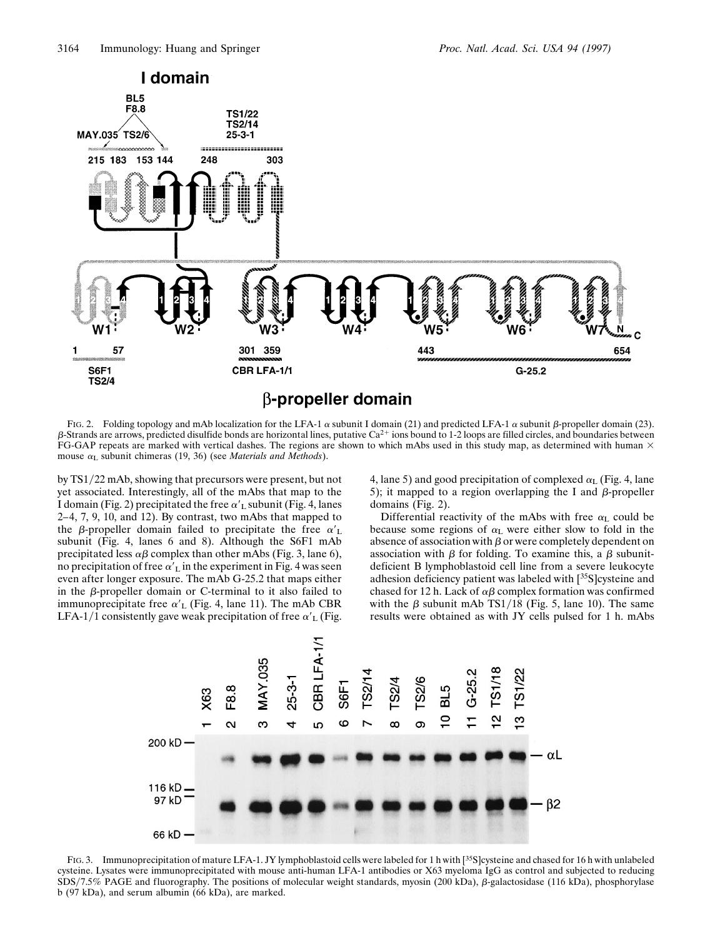

FIG. 2. Folding topology and mAb localization for the LFA-1  $\alpha$  subunit I domain (21) and predicted LFA-1  $\alpha$  subunit  $\beta$ -propeller domain (23).  $\beta$ -Strands are arrows, predicted disulfide bonds are horizontal lines, putative Ca<sup>2+</sup> ions bound to 1-2 loops are filled circles, and boundaries between FG-GAP repeats are marked with vertical dashes. The regions are shown to which mAbs used in this study map, as determined with human  $\times$ mouse  $\alpha$ <sub>L</sub> subunit chimeras (19, 36) (see *Materials and Methods*).

by TS1/22 mAb, showing that precursors were present, but not yet associated. Interestingly, all of the mAbs that map to the I domain (Fig. 2) precipitated the free  $\alpha'$ <sub>L</sub> subunit (Fig. 4, lanes 2–4, 7, 9, 10, and 12). By contrast, two mAbs that mapped to the  $\beta$ -propeller domain failed to precipitate the free  $\alpha'_{\rm L}$ subunit (Fig. 4, lanes 6 and 8). Although the S6F1 mAb precipitated less  $\alpha\beta$  complex than other mAbs (Fig. 3, lane 6), no precipitation of free  $\alpha'$ <sub>L</sub> in the experiment in Fig. 4 was seen even after longer exposure. The mAb G-25.2 that maps either in the  $\beta$ -propeller domain or C-terminal to it also failed to immunoprecipitate free  $\alpha'$ <sub>L</sub> (Fig. 4, lane 11). The mAb CBR LFA-1/1 consistently gave weak precipitation of free  $\alpha'_{\rm L}$  (Fig. 4, lane 5) and good precipitation of complexed  $\alpha$ <sub>L</sub> (Fig. 4, lane 5); it mapped to a region overlapping the I and  $\beta$ -propeller domains (Fig. 2).

Differential reactivity of the mAbs with free  $\alpha$ <sub>L</sub> could be because some regions of  $\alpha$ <sub>L</sub> were either slow to fold in the absence of association with  $\beta$  or were completely dependent on association with  $\beta$  for folding. To examine this, a  $\beta$  subunitdeficient B lymphoblastoid cell line from a severe leukocyte adhesion deficiency patient was labeled with [35S]cysteine and chased for 12 h. Lack of  $\alpha\beta$  complex formation was confirmed with the  $\beta$  subunit mAb TS1/18 (Fig. 5, lane 10). The same results were obtained as with JY cells pulsed for 1 h. mAbs



FIG. 3. Immunoprecipitation of mature LFA-1. JY lymphoblastoid cells were labeled for 1 h with [35S]cysteine and chased for 16 h with unlabeled cysteine. Lysates were immunoprecipitated with mouse anti-human LFA-1 antibodies or X63 myeloma IgG as control and subjected to reducing SDS/7.5% PAGE and fluorography. The positions of molecular weight standards, myosin (200 kDa),  $\beta$ -galactosidase (116 kDa), phosphorylase b (97 kDa), and serum albumin (66 kDa), are marked.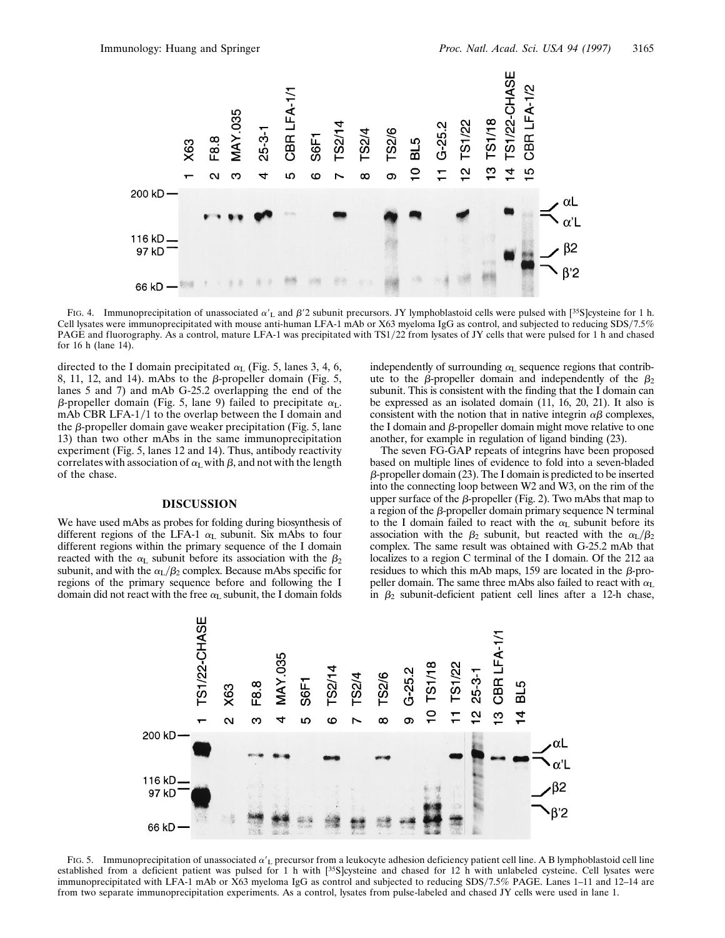

FIG. 4. Immunoprecipitation of unassociated  $\alpha'$ <sub>L</sub> and  $\beta'$ 2 subunit precursors. JY lymphoblastoid cells were pulsed with [<sup>35</sup>S]cysteine for 1 h. Cell lysates were immunoprecipitated with mouse anti-human LFA-1 mAb or X63 myeloma IgG as control, and subjected to reducing SDSy7.5% PAGE and fluorography. As a control, mature LFA-1 was precipitated with TS1/22 from lysates of JY cells that were pulsed for 1 h and chased for 16 h (lane 14).

directed to the I domain precipitated  $\alpha$ <sub>L</sub> (Fig. 5, lanes 3, 4, 6, 8, 11, 12, and 14). mAbs to the  $\beta$ -propeller domain (Fig. 5, lanes 5 and 7) and mAb G-25.2 overlapping the end of the  $\beta$ -propeller domain (Fig. 5, lane 9) failed to precipitate  $\alpha_L$ . mAb CBR LFA- $1/1$  to the overlap between the I domain and the  $\beta$ -propeller domain gave weaker precipitation (Fig. 5, lane 13) than two other mAbs in the same immunoprecipitation experiment (Fig. 5, lanes 12 and 14). Thus, antibody reactivity correlates with association of  $\alpha_L$  with  $\beta$ , and not with the length of the chase.

## **DISCUSSION**

We have used mAbs as probes for folding during biosynthesis of different regions of the LFA-1  $\alpha_L$  subunit. Six mAbs to four different regions within the primary sequence of the I domain reacted with the  $\alpha$ <sub>L</sub> subunit before its association with the  $\beta_2$ subunit, and with the  $\alpha_L/\beta_2$  complex. Because mAbs specific for regions of the primary sequence before and following the I domain did not react with the free  $\alpha_L$  subunit, the I domain folds

independently of surrounding  $\alpha$ <sub>L</sub> sequence regions that contribute to the  $\beta$ -propeller domain and independently of the  $\beta_2$ subunit. This is consistent with the finding that the I domain can be expressed as an isolated domain (11, 16, 20, 21). It also is consistent with the notion that in native integrin  $\alpha\beta$  complexes, the I domain and  $\beta$ -propeller domain might move relative to one another, for example in regulation of ligand binding (23).

The seven FG-GAP repeats of integrins have been proposed based on multiple lines of evidence to fold into a seven-bladed  $\beta$ -propeller domain (23). The I domain is predicted to be inserted into the connecting loop between W2 and W3, on the rim of the upper surface of the  $\beta$ -propeller (Fig. 2). Two mAbs that map to a region of the  $\beta$ -propeller domain primary sequence N terminal to the I domain failed to react with the  $\alpha$ <sub>L</sub> subunit before its association with the  $\beta_2$  subunit, but reacted with the  $\alpha_L/\beta_2$ complex. The same result was obtained with G-25.2 mAb that localizes to a region C terminal of the I domain. Of the 212 aa residues to which this mAb maps, 159 are located in the  $\beta$ -propeller domain. The same three mAbs also failed to react with  $\alpha_{\text{L}}$ in  $\beta_2$  subunit-deficient patient cell lines after a 12-h chase,



FIG. 5. Immunoprecipitation of unassociated  $\alpha'$ <sub>L</sub> precursor from a leukocyte adhesion deficiency patient cell line. A B lymphoblastoid cell line established from a deficient patient was pulsed for 1 h with [35S]cysteine and chased for 12 h with unlabeled cysteine. Cell lysates were immunoprecipitated with LFA-1 mAb or X63 myeloma IgG as control and subjected to reducing SDSy7.5% PAGE. Lanes 1–11 and 12–14 are from two separate immunoprecipitation experiments. As a control, lysates from pulse-labeled and chased JY cells were used in lane 1.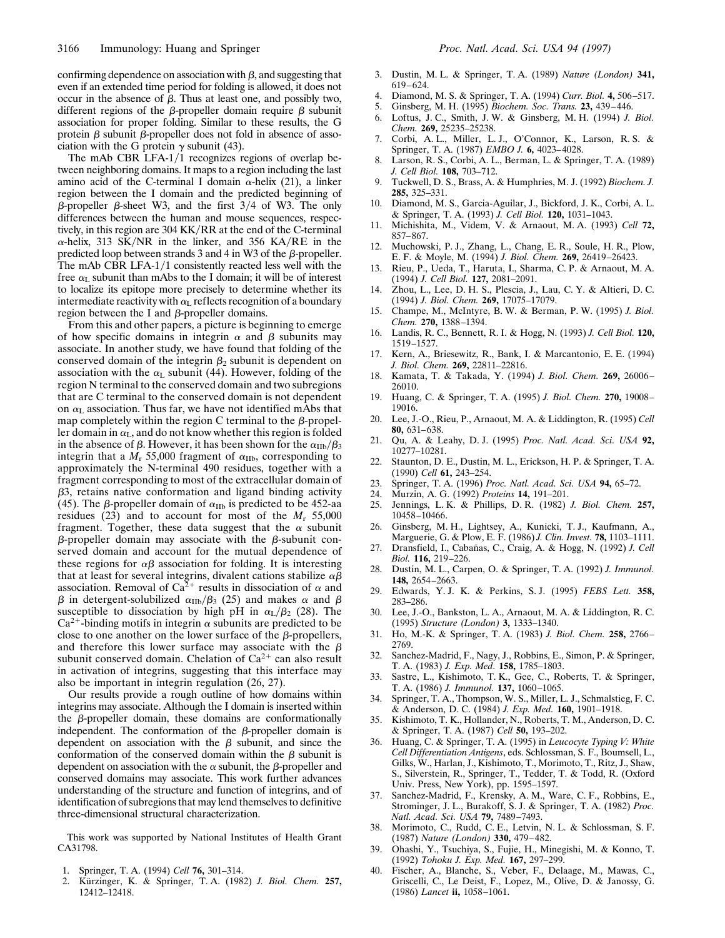confirming dependence on association with  $\beta$ , and suggesting that even if an extended time period for folding is allowed, it does not occur in the absence of  $\beta$ . Thus at least one, and possibly two, different regions of the  $\beta$ -propeller domain require  $\beta$  subunit association for proper folding. Similar to these results, the G protein  $\beta$  subunit  $\beta$ -propeller does not fold in absence of association with the G protein  $\gamma$  subunit (43).

The mAb CBR LFA-1/1 recognizes regions of overlap between neighboring domains. It maps to a region including the last amino acid of the C-terminal I domain  $\alpha$ -helix (21), a linker region between the I domain and the predicted beginning of  $\beta$ -propeller  $\beta$ -sheet W3, and the first 3/4 of W3. The only differences between the human and mouse sequences, respectively, in this region are 304 KK/RR at the end of the C-terminal  $\alpha$ -helix, 313 SK/NR in the linker, and 356 KA/RE in the predicted loop between strands  $3$  and  $4$  in W3 of the  $\beta$ -propeller. The mAb CBR LFA- $1/1$  consistently reacted less well with the free  $\alpha$ <sub>L</sub> subunit than mAbs to the I domain; it will be of interest to localize its epitope more precisely to determine whether its intermediate reactivity with  $\alpha_L$  reflects recognition of a boundary region between the I and  $\beta$ -propeller domains.

From this and other papers, a picture is beginning to emerge of how specific domains in integrin  $\alpha$  and  $\beta$  subunits may associate. In another study, we have found that folding of the conserved domain of the integrin  $\beta_2$  subunit is dependent on association with the  $\alpha$ <sub>L</sub> subunit (44). However, folding of the region N terminal to the conserved domain and two subregions that are C terminal to the conserved domain is not dependent on  $\alpha$ <sub>L</sub> association. Thus far, we have not identified mAbs that map completely within the region C terminal to the  $\beta$ -propeller domain in  $\alpha_L$ , and do not know whether this region is folded in the absence of  $\beta$ . However, it has been shown for the  $\alpha_{\text{IIb}}/\beta_3$ integrin that a  $M_r$  55,000 fragment of  $\alpha_{\text{IIb}}$ , corresponding to approximately the N-terminal 490 residues, together with a fragment corresponding to most of the extracellular domain of  $\beta$ 3, retains native conformation and ligand binding activity (45). The  $\beta$ -propeller domain of  $\alpha_{\text{IIb}}$  is predicted to be 452-aa residues (23) and to account for most of the  $M_r$  55,000 fragment. Together, these data suggest that the  $\alpha$  subunit  $\beta$ -propeller domain may associate with the  $\beta$ -subunit conserved domain and account for the mutual dependence of these regions for  $\alpha\beta$  association for folding. It is interesting that at least for several integrins, divalent cations stabilize  $\alpha\beta$ association. Removal of Ca<sup>2+</sup> results in dissociation of  $\alpha$  and  $\beta$  in detergent-solubilized  $\alpha_{\text{IIb}}/\beta_3$  (25) and makes  $\alpha$  and  $\beta$ susceptible to dissociation by high pH in  $\alpha_L/\beta_2$  (28). The  $Ca<sup>2+</sup>$ -binding motifs in integrin  $\alpha$  subunits are predicted to be close to one another on the lower surface of the  $\beta$ -propellers, and therefore this lower surface may associate with the  $\beta$ subunit conserved domain. Chelation of  $Ca^{2+}$  can also result in activation of integrins, suggesting that this interface may also be important in integrin regulation (26, 27).

Our results provide a rough outline of how domains within integrins may associate. Although the I domain is inserted within the  $\beta$ -propeller domain, these domains are conformationally independent. The conformation of the  $\beta$ -propeller domain is dependent on association with the  $\beta$  subunit, and since the conformation of the conserved domain within the  $\beta$  subunit is dependent on association with the  $\alpha$  subunit, the  $\beta$ -propeller and conserved domains may associate. This work further advances understanding of the structure and function of integrins, and of identification of subregions that may lend themselves to definitive three-dimensional structural characterization.

This work was supported by National Institutes of Health Grant CA31798.

- 1. Springer, T. A. (1994) *Cell* **76,** 301–314.
- 2. Ku¨rzinger, K. & Springer, T. A. (1982) *J. Biol. Chem.* **257,** 12412–12418.
- 3. Dustin, M. L. & Springer, T. A. (1989) *Nature (London)* **341,** 619–624.
- 4. Diamond, M. S. & Springer, T. A. (1994) *Curr. Biol.* **4,** 506–517.
- 5. Ginsberg, M. H. (1995) *Biochem. Soc. Trans.* **23,** 439–446.
- 6. Loftus, J. C., Smith, J. W. & Ginsberg, M. H. (1994) *J. Biol. Chem.* **269,** 25235–25238.
- 7. Corbi, A. L., Miller, L. J., O'Connor, K., Larson, R. S. & Springer, T. A. (1987) *EMBO J.* **6,** 4023–4028.
- 8. Larson, R. S., Corbi, A. L., Berman, L. & Springer, T. A. (1989) *J. Cell Biol.* **108,** 703–712.
- 9. Tuckwell, D. S., Brass, A. & Humphries, M. J. (1992) *Biochem. J.* **285,** 325–331.
- 10. Diamond, M. S., Garcia-Aguilar, J., Bickford, J. K., Corbi, A. L. & Springer, T. A. (1993) *J. Cell Biol.* **120,** 1031–1043.
- 11. Michishita, M., Videm, V. & Arnaout, M. A. (1993) *Cell* **72,** 857–867.
- 12. Muchowski, P. J., Zhang, L., Chang, E. R., Soule, H. R., Plow, E. F. & Moyle, M. (1994) *J. Biol. Chem.* **269,** 26419–26423.
- 13. Rieu, P., Ueda, T., Haruta, I., Sharma, C. P. & Arnaout, M. A. (1994) *J. Cell Biol.* **127,** 2081–2091.
- 14. Zhou, L., Lee, D. H. S., Plescia, J., Lau, C. Y. & Altieri, D. C. (1994) *J. Biol. Chem.* **269,** 17075–17079.
- 15. Champe, M., McIntyre, B. W. & Berman, P. W. (1995) *J. Biol. Chem.* **270,** 1388–1394.
- 16. Landis, R. C., Bennett, R. I. & Hogg, N. (1993) *J. Cell Biol.* **120,** 1519–1527.
- 17. Kern, A., Briesewitz, R., Bank, I. & Marcantonio, E. E. (1994) *J. Biol. Chem.* **269,** 22811–22816.
- 18. Kamata, T. & Takada, Y. (1994) *J. Biol. Chem.* **269,** 26006– 26010.
- 19. Huang, C. & Springer, T. A. (1995) *J. Biol. Chem.* **270,** 19008– 19016.
- 20. Lee, J.-O., Rieu, P., Arnaout, M. A. & Liddington, R. (1995) *Cell* **80,** 631–638.
- 21. Qu, A. & Leahy, D. J. (1995) *Proc. Natl. Acad. Sci. USA* **92,** 10277–10281.
- 22. Staunton, D. E., Dustin, M. L., Erickson, H. P. & Springer, T. A. (1990) *Cell* **61,** 243–254.
- 23. Springer, T. A. (1996) *Proc. Natl. Acad. Sci. USA* **94,** 65–72.
- 24. Murzin, A. G. (1992) *Proteins* **14,** 191–201.
- 25. Jennings, L. K. & Phillips, D. R. (1982) *J. Biol. Chem.* **257,** 10458–10466.
- 26. Ginsberg, M. H., Lightsey, A., Kunicki, T. J., Kaufmann, A., Marguerie, G. & Plow, E. F. (1986) *J. Clin. Invest.* **78,** 1103–1111.
- 27. Dransfield, I., Cabañas, C., Craig, A. & Hogg, N. (1992) *J. Cell Biol.* **116,** 219–226.
- 28. Dustin, M. L., Carpen, O. & Springer, T. A. (1992) *J. Immunol.* **148,** 2654–2663.
- 29. Edwards, Y. J. K. & Perkins, S. J. (1995) *FEBS Lett.* **358,** 283–286.
- 30. Lee, J.-O., Bankston, L. A., Arnaout, M. A. & Liddington, R. C. (1995) *Structure (London)* **3,** 1333–1340.
- 31. Ho, M.-K. & Springer, T. A. (1983) *J. Biol. Chem.* **258,** 2766– 2769.
- 32. Sanchez-Madrid, F., Nagy, J., Robbins, E., Simon, P. & Springer, T. A. (1983) *J. Exp. Med.* **158,** 1785–1803.
- 33. Sastre, L., Kishimoto, T. K., Gee, C., Roberts, T. & Springer, T. A. (1986) *J. Immunol.* **137,** 1060–1065.
- 34. Springer, T. A., Thompson, W. S., Miller, L. J., Schmalstieg, F. C. & Anderson, D. C. (1984) *J. Exp. Med.* **160,** 1901–1918.
- 35. Kishimoto, T. K., Hollander, N., Roberts, T. M., Anderson, D. C. & Springer, T. A. (1987) *Cell* **50,** 193–202.
- 36. Huang, C. & Springer, T. A. (1995) in *Leucocyte Typing V: White Cell Differentiation Antigens*, eds. Schlossman, S. F., Boumsell, L., Gilks, W., Harlan, J., Kishimoto, T., Morimoto, T., Ritz, J., Shaw, S., Silverstein, R., Springer, T., Tedder, T. & Todd, R. (Oxford Univ. Press, New York), pp. 1595–1597.
- 37. Sanchez-Madrid, F., Krensky, A. M., Ware, C. F., Robbins, E., Strominger, J. L., Burakoff, S. J. & Springer, T. A. (1982) *Proc. Natl. Acad. Sci. USA* **79,** 7489–7493.
- 38. Morimoto, C., Rudd, C. E., Letvin, N. L. & Schlossman, S. F. (1987) *Nature (London)* **330,** 479–482.
- 39. Ohashi, Y., Tsuchiya, S., Fujie, H., Minegishi, M. & Konno, T. (1992) *Tohoku J. Exp. Med.* **167,** 297–299.
- 40. Fischer, A., Blanche, S., Veber, F., Delaage, M., Mawas, C., Griscelli, C., Le Deist, F., Lopez, M., Olive, D. & Janossy, G. (1986) *Lancet* **ii,** 1058–1061.